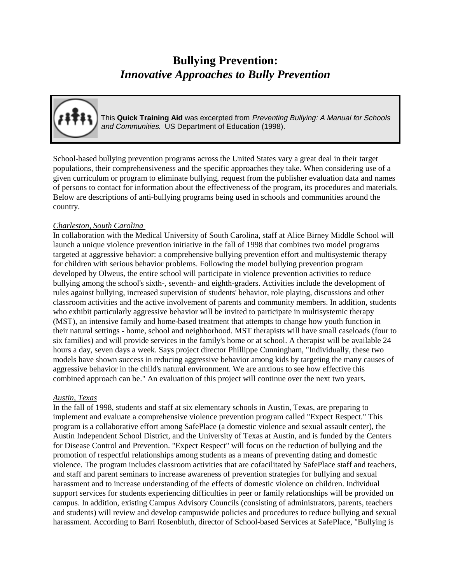# **Bullying Prevention:** *Innovative Approaches to Bully Prevention*



This **Quick Training Aid** was excerpted from Preventing Bullying: <sup>A</sup> Manual for Schools and Communities. US Department of Education (1998).

School-based bullying prevention programs across the United States vary a great deal in their target populations, their comprehensiveness and the specific approaches they take. When considering use of a given curriculum or program to eliminate bullying, request from the publisher evaluation data and names of persons to contact for information about the effectiveness of the program, its procedures and materials. Below are descriptions of anti-bullying programs being used in schools and communities around the country.

## *Charleston, South Carolina*

In collaboration with the Medical University of South Carolina, staff at Alice Birney Middle School will launch a unique violence prevention initiative in the fall of 1998 that combines two model programs targeted at aggressive behavior: a comprehensive bullying prevention effort and multisystemic therapy for children with serious behavior problems. Following the model bullying prevention program developed by Olweus, the entire school will participate in violence prevention activities to reduce bullying among the school's sixth-, seventh- and eighth-graders. Activities include the development of rules against bullying, increased supervision of students' behavior, role playing, discussions and other classroom activities and the active involvement of parents and community members. In addition, students who exhibit particularly aggressive behavior will be invited to participate in multisystemic therapy (MST), an intensive family and home-based treatment that attempts to change how youth function in their natural settings - home, school and neighborhood. MST therapists will have small caseloads (four to six families) and will provide services in the family's home or at school. A therapist will be available 24 hours a day, seven days a week. Says project director Phillippe Cunningham, "Individually, these two models have shown success in reducing aggressive behavior among kids by targeting the many causes of aggressive behavior in the child's natural environment. We are anxious to see how effective this combined approach can be." An evaluation of this project will continue over the next two years.

## *Austin, Texas*

In the fall of 1998, students and staff at six elementary schools in Austin, Texas, are preparing to implement and evaluate a comprehensive violence prevention program called "Expect Respect." This program is a collaborative effort among SafePlace (a domestic violence and sexual assault center), the Austin Independent School District, and the University of Texas at Austin, and is funded by the Centers for Disease Control and Prevention. "Expect Respect" will focus on the reduction of bullying and the promotion of respectful relationships among students as a means of preventing dating and domestic violence. The program includes classroom activities that are cofacilitated by SafePlace staff and teachers, and staff and parent seminars to increase awareness of prevention strategies for bullying and sexual harassment and to increase understanding of the effects of domestic violence on children. Individual support services for students experiencing difficulties in peer or family relationships will be provided on campus. In addition, existing Campus Advisory Councils (consisting of administrators, parents, teachers and students) will review and develop campuswide policies and procedures to reduce bullying and sexual harassment. According to Barri Rosenbluth, director of School-based Services at SafePlace, "Bullying is